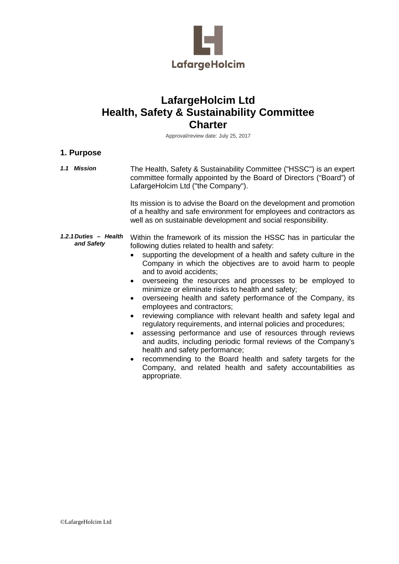

# **LafargeHolcim Ltd Health, Safety & Sustainability Committee Charter**

Approval/review date: July 25, 2017

#### **1. Purpose**

*1.1 Mission* The Health, Safety & Sustainability Committee ("HSSC") is an expert committee formally appointed by the Board of Directors ("Board") of LafargeHolcim Ltd ("the Company"). Its mission is to advise the Board on the development and promotion of a healthy and safe environment for employees and contractors as well as on sustainable development and social responsibility. *1.2.1Duties – Health and Safety* Within the framework of its mission the HSSC has in particular the following duties related to health and safety: supporting the development of a health and safety culture in the Company in which the objectives are to avoid harm to people and to avoid accidents; • overseeing the resources and processes to be employed to minimize or eliminate risks to health and safety; • overseeing health and safety performance of the Company, its employees and contractors; • reviewing compliance with relevant health and safety legal and regulatory requirements, and internal policies and procedures; • assessing performance and use of resources through reviews and audits, including periodic formal reviews of the Company's health and safety performance; • recommending to the Board health and safety targets for the Company, and related health and safety accountabilities as

appropriate.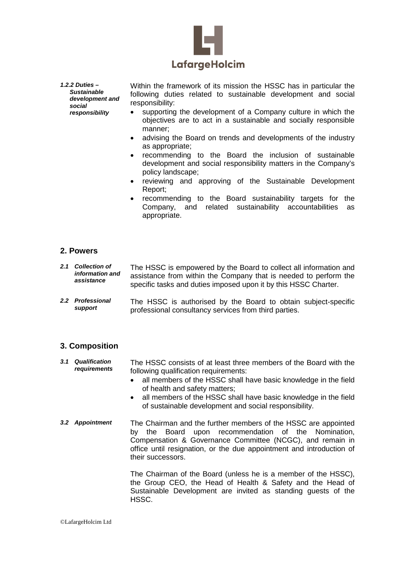

*1.2.2 Duties – Sustainable development and social responsibility* 

Within the framework of its mission the HSSC has in particular the following duties related to sustainable development and social responsibility:

- supporting the development of a Company culture in which the objectives are to act in a sustainable and socially responsible manner;
- advising the Board on trends and developments of the industry as appropriate;
- recommending to the Board the inclusion of sustainable development and social responsibility matters in the Company's policy landscape;
- reviewing and approving of the Sustainable Development Report;
- recommending to the Board sustainability targets for the Company, and related sustainability accountabilities as appropriate.

#### **2. Powers**

- *2.1 Collection of information and assistance* The HSSC is empowered by the Board to collect all information and assistance from within the Company that is needed to perform the specific tasks and duties imposed upon it by this HSSC Charter.
- *2.2 Professional support* The HSSC is authorised by the Board to obtain subject-specific professional consultancy services from third parties.

## **3. Composition**

- *3.1 Qualification requirements* The HSSC consists of at least three members of the Board with the following qualification requirements:
	- all members of the HSSC shall have basic knowledge in the field of health and safety matters;
	- all members of the HSSC shall have basic knowledge in the field of sustainable development and social responsibility.
- *3.2 Appointment* The Chairman and the further members of the HSSC are appointed by the Board upon recommendation of the Nomination, Compensation & Governance Committee (NCGC), and remain in office until resignation, or the due appointment and introduction of their successors.

The Chairman of the Board (unless he is a member of the HSSC), the Group CEO, the Head of Health & Safety and the Head of Sustainable Development are invited as standing guests of the HSSC.